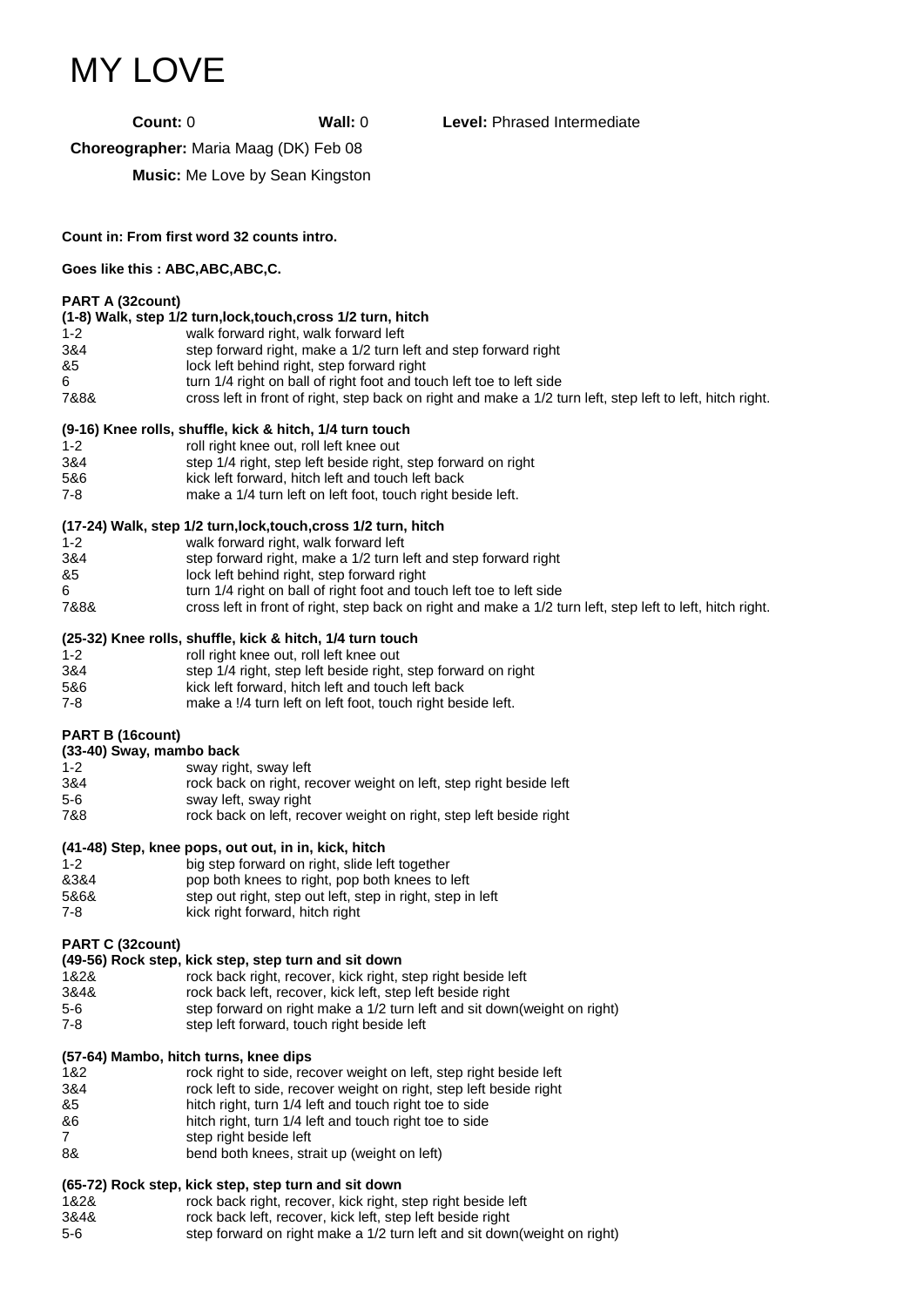# MY LOVE

**Count:** 0 **Wall:** 0 **Level:** Phrased Intermediate

**Choreographer:** Maria Maag (DK) Feb 08

**Music:** Me Love by Sean Kingston

**Count in: From first word 32 counts intro.**

#### **Goes like this : ABC,ABC,ABC,C.**

#### **PART A (32count)**

|  | (1-8) Walk, step 1/2 turn, lock, touch, cross 1/2 turn, hitch |
|--|---------------------------------------------------------------|
|--|---------------------------------------------------------------|

- 1-2 walk forward right, walk forward left<br>3&4 step forward right. make a 1/2 turn li
- 3&4 step forward right, make a 1/2 turn left and step forward right
- lock left behind right, step forward right
- 6 turn 1/4 right on ball of right foot and touch left toe to left side<br>7888 cross left in front of right, step back on right and make a 1/2 to
- cross left in front of right, step back on right and make a 1/2 turn left, step left to left, hitch right.

### **(9-16) Knee rolls, shuffle, kick & hitch, 1/4 turn touch**

- 1-2 roll right knee out, roll left knee out 3&4 step 1/4 right, step left beside right, step forward on right 5&6 kick left forward, hitch left and touch left back 7-8 make a 1/4 turn left on left foot, touch right beside left.
- **(17-24) Walk, step 1/2 turn,lock,touch,cross 1/2 turn, hitch**

|         | $\mathbf{u}$ $\mathbf{u}$ $\mathbf{v}$ and $\mathbf{v}$ and $\mathbf{v}$ is the control interval interval interval interval interval interval interval interval interval interval interval interval interval interval interval interval interval |
|---------|--------------------------------------------------------------------------------------------------------------------------------------------------------------------------------------------------------------------------------------------------|
| $1 - 2$ | walk forward right, walk forward left                                                                                                                                                                                                            |
| 3&4     | step forward right, make a 1/2 turn left and step forward right                                                                                                                                                                                  |
| -85     | lock left behind right, step forward right                                                                                                                                                                                                       |
| -6      | turn 1/4 right on ball of right foot and touch left toe to left side                                                                                                                                                                             |
| 7&8&    | cross left in front of right, step back on right and make a 1/2 turn left, step left to left, hitch right.                                                                                                                                       |
|         |                                                                                                                                                                                                                                                  |

#### **(25-32) Knee rolls, shuffle, kick & hitch, 1/4 turn touch**

| $1 - 2$ | roll right knee out, roll left knee out                       |
|---------|---------------------------------------------------------------|
| 3&4     | step 1/4 right, step left beside right, step forward on right |
| 5&6     | kick left forward, hitch left and touch left back             |
| 7-8     | make a !/4 turn left on left foot, touch right beside left.   |

### **PART B (16count)**

### **(33-40) Sway, mambo back**

| $1 - 2$ | sway right, sway left                                              |
|---------|--------------------------------------------------------------------|
| 3&4     | rock back on right, recover weight on left, step right beside left |
| $5-6$   | sway left, sway right                                              |
| 7&8     | rock back on left, recover weight on right, step left beside right |

### **(41-48) Step, knee pops, out out, in in, kick, hitch**

| $1 - 2$ | big step forward on right, slide left together             |
|---------|------------------------------------------------------------|
| &3&4    | pop both knees to right, pop both knees to left            |
| 5&6&    | step out right, step out left, step in right, step in left |
| 7-8     | kick right forward, hitch right                            |
|         |                                                            |

### **PART C (32count)**

### **(49-56) Rock step, kick step, step turn and sit down**

| 1&2&  | rock back right, recover, kick right, step right beside left              |
|-------|---------------------------------------------------------------------------|
| 3&4&  | rock back left, recover, kick left, step left beside right                |
| $5-6$ | step forward on right make a 1/2 turn left and sit down (weight on right) |
| 7-8   | step left forward, touch right beside left                                |
|       |                                                                           |

### **(57-64) Mambo, hitch turns, knee dips**

| 1&2 | rock right to side, recover weight on left, step right beside left |
|-----|--------------------------------------------------------------------|
| 3&4 | rock left to side, recover weight on right, step left beside right |
| &5  | hitch right, turn 1/4 left and touch right toe to side             |
| &6  | hitch right, turn 1/4 left and touch right toe to side             |
|     | step right beside left                                             |
| 8&  | bend both knees, strait up (weight on left)                        |
|     |                                                                    |

## **(65-72) Rock step, kick step, step turn and sit down**

| 1&2&  | rock back right, recover, kick right, step right beside left             |
|-------|--------------------------------------------------------------------------|
| 3&4&  | rock back left, recover, kick left, step left beside right               |
| $5-6$ | step forward on right make a 1/2 turn left and sit down(weight on right) |
|       |                                                                          |